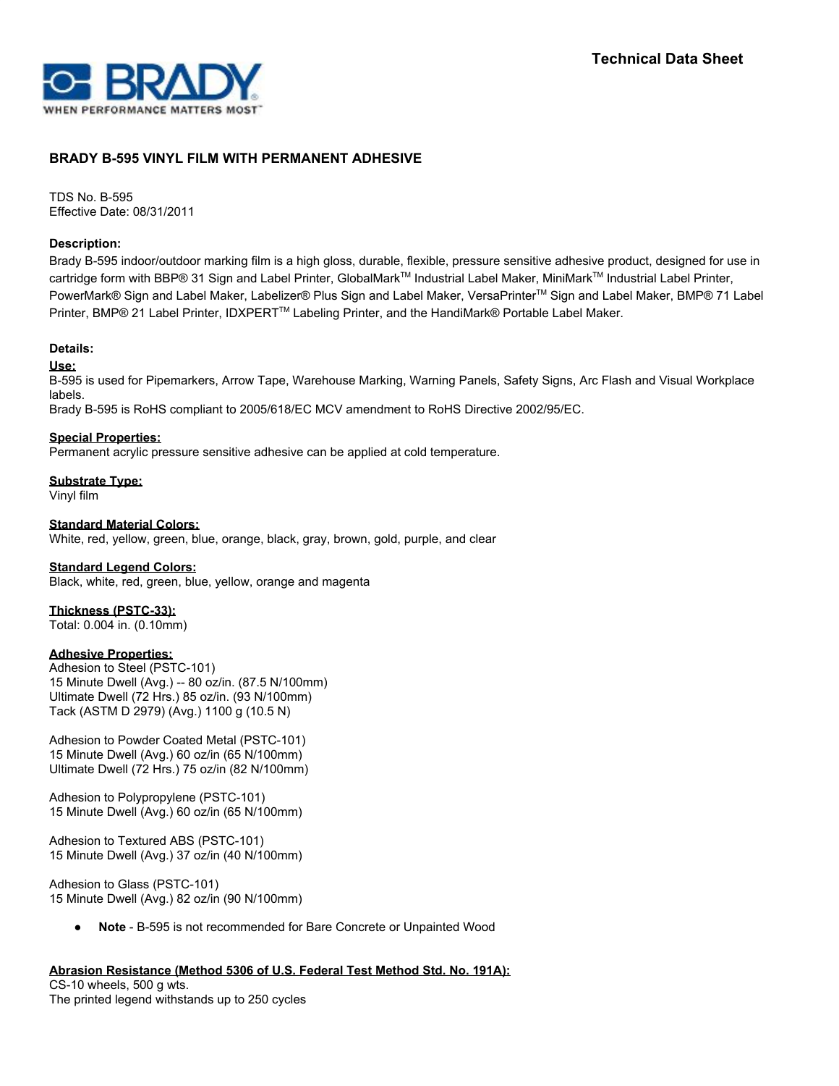

# **BRADY B-595 VINYL FILM WITH PERMANENT ADHESIVE**

TDS No. B-595 Effective Date: 08/31/2011

#### **Description:**

Brady B-595 indoor/outdoor marking film is a high gloss, durable, flexible, pressure sensitive adhesive product, designed for use in cartridge form with BBP® 31 Sign and Label Printer, GlobalMark™ Industrial Label Maker, MiniMark™ Industrial Label Printer, PowerMark® Sign and Label Maker, Labelizer® Plus Sign and Label Maker, VersaPrinter™ Sign and Label Maker, BMP® 71 Label Printer, BMP® 21 Label Printer, IDXPERT™ Labeling Printer, and the HandiMark® Portable Label Maker.

#### **Details:**

**Use:**

B-595 is used for Pipemarkers, Arrow Tape, Warehouse Marking, Warning Panels, Safety Signs, Arc Flash and Visual Workplace labels.

Brady B-595 is RoHS compliant to 2005/618/EC MCV amendment to RoHS Directive 2002/95/EC.

### **Special Properties:**

Permanent acrylic pressure sensitive adhesive can be applied at cold temperature.

**Substrate Type:** Vinyl film

**Standard Material Colors:** White, red, yellow, green, blue, orange, black, gray, brown, gold, purple, and clear

#### **Standard Legend Colors:**

Black, white, red, green, blue, yellow, orange and magenta

# **Thickness (PSTC-33):**

Total: 0.004 in. (0.10mm)

# **Adhesive Properties:**

Adhesion to Steel (PSTC-101) 15 Minute Dwell (Avg.) -- 80 oz/in. (87.5 N/100mm) Ultimate Dwell (72 Hrs.) 85 oz/in. (93 N/100mm) Tack (ASTM D 2979) (Avg.) 1100 g (10.5 N)

Adhesion to Powder Coated Metal (PSTC-101) 15 Minute Dwell (Avg.) 60 oz/in (65 N/100mm) Ultimate Dwell (72 Hrs.) 75 oz/in (82 N/100mm)

Adhesion to Polypropylene (PSTC-101) 15 Minute Dwell (Avg.) 60 oz/in (65 N/100mm)

Adhesion to Textured ABS (PSTC-101) 15 Minute Dwell (Avg.) 37 oz/in (40 N/100mm)

Adhesion to Glass (PSTC-101) 15 Minute Dwell (Avg.) 82 oz/in (90 N/100mm)

Note - B-595 is not recommended for Bare Concrete or Unpainted Wood

#### **Abrasion Resistance (Method 5306 of U.S. Federal Test Method Std. No. 191A):**

CS-10 wheels, 500 g wts. The printed legend withstands up to 250 cycles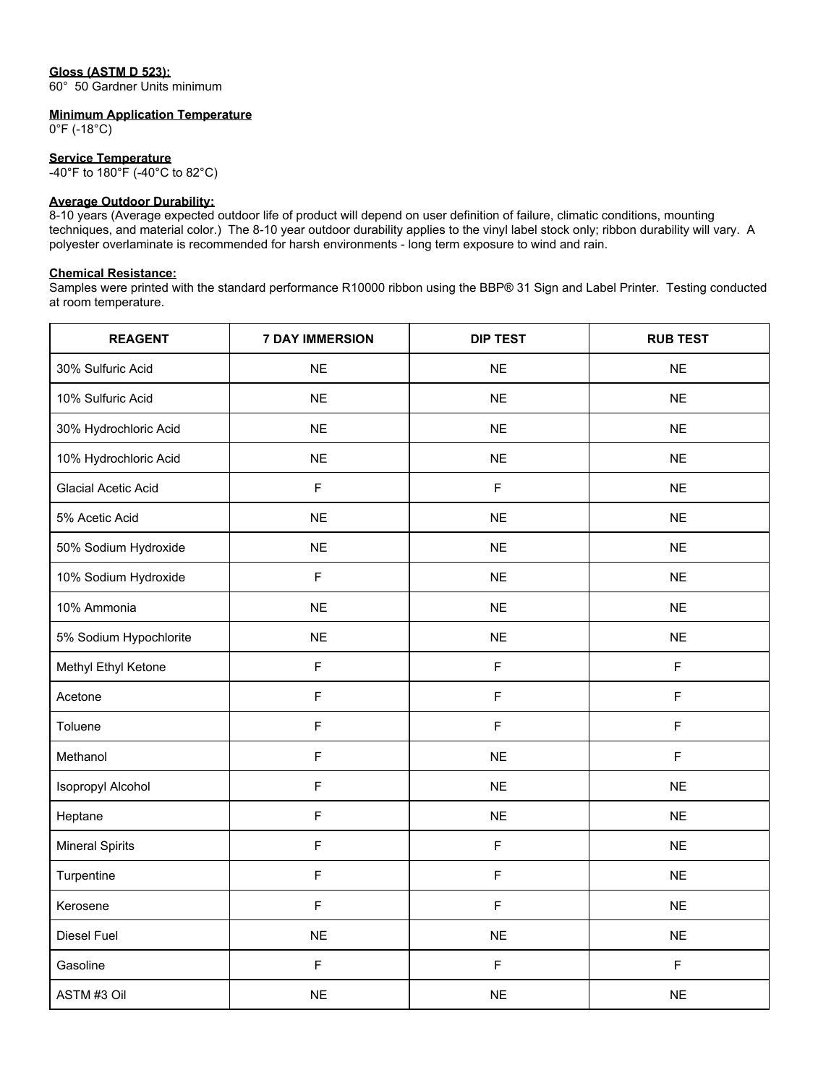# **Gloss (ASTM D 523):**

60° 50 Gardner Units minimum

#### **Minimum Application Temperature**

0°F (-18°C)

**Service Temperature** -40°F to 180°F (-40°C to 82°C)

#### **Average Outdoor Durability:**

8-10 years (Average expected outdoor life of product will depend on user definition of failure, climatic conditions, mounting techniques, and material color.) The 8-10 year outdoor durability applies to the vinyl label stock only; ribbon durability will vary. A polyester overlaminate is recommended for harsh environments - long term exposure to wind and rain.

### **Chemical Resistance:**

Samples were printed with the standard performance R10000 ribbon using the BBP® 31 Sign and Label Printer. Testing conducted at room temperature.

| <b>REAGENT</b>             | <b>7 DAY IMMERSION</b> | <b>DIP TEST</b> | <b>RUB TEST</b> |
|----------------------------|------------------------|-----------------|-----------------|
| 30% Sulfuric Acid          | <b>NE</b>              | <b>NE</b>       | <b>NE</b>       |
| 10% Sulfuric Acid          | <b>NE</b>              | <b>NE</b>       | <b>NE</b>       |
| 30% Hydrochloric Acid      | <b>NE</b>              | <b>NE</b>       | <b>NE</b>       |
| 10% Hydrochloric Acid      | <b>NE</b>              | <b>NE</b>       | <b>NE</b>       |
| <b>Glacial Acetic Acid</b> | $\mathsf F$            | $\mathsf F$     | <b>NE</b>       |
| 5% Acetic Acid             | <b>NE</b>              | <b>NE</b>       | <b>NE</b>       |
| 50% Sodium Hydroxide       | <b>NE</b>              | <b>NE</b>       | <b>NE</b>       |
| 10% Sodium Hydroxide       | F                      | <b>NE</b>       | <b>NE</b>       |
| 10% Ammonia                | <b>NE</b>              | <b>NE</b>       | <b>NE</b>       |
| 5% Sodium Hypochlorite     | <b>NE</b>              | <b>NE</b>       | <b>NE</b>       |
| Methyl Ethyl Ketone        | $\mathsf F$            | $\mathsf F$     | $\mathsf F$     |
| Acetone                    | F                      | $\mathsf F$     | $\mathsf F$     |
| Toluene                    | $\mathsf F$            | $\overline{F}$  | $\mathsf F$     |
| Methanol                   | F                      | <b>NE</b>       | $\mathsf F$     |
| Isopropyl Alcohol          | $\mathsf F$            | <b>NE</b>       | <b>NE</b>       |
| Heptane                    | F                      | <b>NE</b>       | <b>NE</b>       |
| <b>Mineral Spirits</b>     | $\mathsf F$            | $\mathsf F$     | <b>NE</b>       |
| Turpentine                 | $\mathsf F$            | $\mathsf F$     | <b>NE</b>       |
| Kerosene                   | F                      | $\mathsf F$     | <b>NE</b>       |
| Diesel Fuel                | <b>NE</b>              | <b>NE</b>       | <b>NE</b>       |
| Gasoline                   | $\mathsf F$            | $\overline{F}$  | $\mathsf F$     |
| ASTM #3 Oil                | $NE$                   | <b>NE</b>       | NE              |